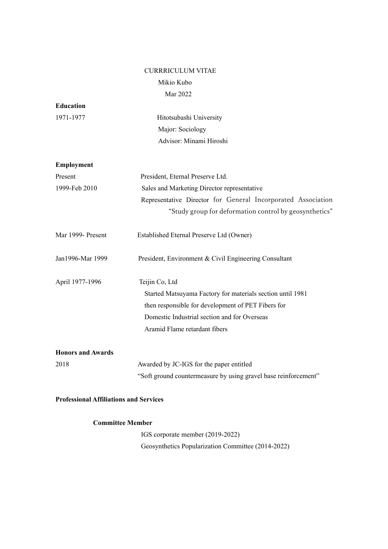# CURRRICULUM VITAE Mikio Kubo

Mar 2022

| <b>Education</b>         |                                                                 |
|--------------------------|-----------------------------------------------------------------|
| 1971-1977                | Hitotsubashi University                                         |
|                          | Major: Sociology                                                |
|                          | Advisor: Minami Hiroshi                                         |
| <b>Employment</b>        |                                                                 |
| Present                  | President, Eternal Preserve Ltd.                                |
| 1999-Feb 2010            | Sales and Marketing Director representative                     |
|                          | Representative Director for General Incorporated Association    |
|                          | "Study group for deformation control by geosynthetics"          |
| Mar 1999- Present        | Established Eternal Preserve Ltd (Owner)                        |
| Jan1996-Mar 1999         | President, Environment & Civil Engineering Consultant           |
| April 1977-1996          | Teijin Co, Ltd                                                  |
|                          | Started Matsuyama Factory for materials section until 1981      |
|                          | then responsible for development of PET Fibers for              |
|                          | Domestic Industrial section and for Overseas                    |
|                          | Aramid Flame retardant fibers                                   |
| <b>Honors and Awards</b> |                                                                 |
| 2018                     | Awarded by JC-IGS for the paper entitled                        |
|                          | "Soft ground countermeasure by using gravel base reinforcement" |

# **Professional Affiliations and Services**

# **Committee Member**

 IGS corporate member (2019-2022) Geosynthetics Popularization Committee (2014-2022)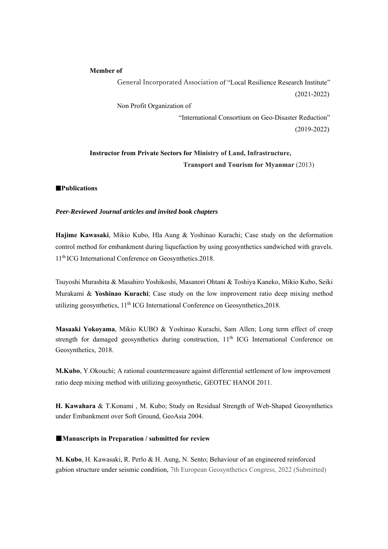#### **Member of**

 General Incorporated Association of "Local Resilience Research Institute" (2021-2022) Non Profit Organization of

> "International Consortium on Geo-Disaster Reduction" (2019-2022)

# **Instructor from Private Sectors for Ministry of Land, Infrastructure, Transport and Tourism for Myanmar** (2013)

#### █**Publications**

### *Peer-Reviewed Journal articles and invited book chapters*

**Hajime Kawasaki**, Mikio Kubo, Hla Aung & Yoshinao Kurachi; Case study on the deformation control method for embankment during liquefaction by using geosynthetics sandwiched with gravels. 11<sup>th</sup> ICG International Conference on Geosynthetics.2018.

Tsuyoshi Murashita & Masahiro Yoshikoshi, Masanori Ohtani & Toshiya Kaneko, Mikio Kubo, Seiki Murakami & **Yoshinao Kurachi**; Case study on the low improvement ratio deep mixing method utilizing geosynthetics,  $11<sup>th</sup> ICG International Conference on Geosynthesis, 2018.$ 

**Masaaki Yokoyama**, Mikio KUBO & Yoshinao Kurachi, Sam Allen; Long term effect of creep strength for damaged geosynthetics during construction,  $11<sup>th</sup>$  ICG International Conference on Geosynthetics, 2018.

**M.Kubo**, Y.Okouchi; A rational countermeasure against differential settlement of low improvement ratio deep mixing method with utilizing geosynthetic, GEOTEC HANOI 2011.

**H. Kawahara** & T.Konami , M. Kubo; Study on Residual Strength of Web-Shaped Geosynthetics under Embankment over Soft Ground, GeoAsia 2004.

### ■**Manuscripts in Preparation / submitted for review**

**M. Kubo**, H. Kawasaki, R. Perlo & H. Aung, N. Sento; Behaviour of an engineered reinforced gabion structure under seismic condition, 7th European Geosynthetics Congress, 2022 (Submitted)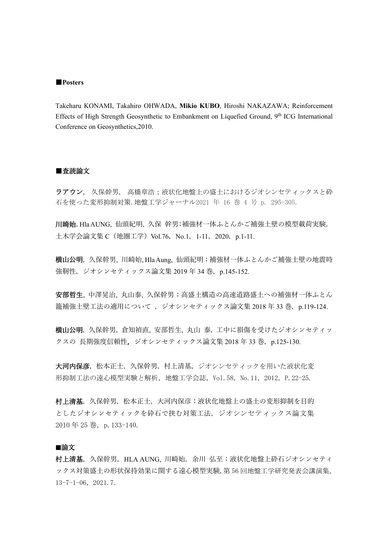#### ■**Posters**

Takeharu KONAMI, Takahiro OHWADA, **Mikio KUBO**, Hiroshi NAKAZAWA; Reinforcement Effects of High Strength Geosynthetic to Embankment on Liquefied Ground,  $9<sup>th</sup>$  ICG International Conference on Geosynthetics,2010.

# ■査読論文

ラアウン, 久保幹男, 高橋章浩;液状化地盤上の盛土におけるジオシンセティックスと砕 石を使った変形抑制対策.地盤工学ジャーナル2021 年 16 巻 4 号 p. 295-305.

川崎始, Hla AUNG, 仙頭紀明, 久保 幹男;補強材一体ふとんかご補強土壁の模型載荷実験, 土木学会論文集 C (地圏工学) Vol.76, No.1, 1-11, 2020, p.1-11.

横山公明, 久保幹男, 川崎始, Hla Aung, 仙頭紀明;補強材一体ふとんかご補強土壁の地震時 強靭性, ジオシンセティックス論文集 2019 年 34 巻, p.145-152.

安部哲生, 中澤晃治, 丸山泰, 久保幹男;高盛土構造の高速道路盛土への補強材一体ふとん 籠補強⼟壁⼯法の適⽤について ,ジオシンセティックス論⽂集 2018 年 33 巻,p.119-124.

横山公明, 久保幹男, 倉知禎直, 安部哲生, 丸山 泰, 工中に損傷を受けたジオシンセティッ クスの 長期強度信頼性, ジオシンセティックス論文集 2018 年 33 巻, p.125-130.

大河内保彦、松本正士、久保幹男、村上清基、ジオシンセティックを用いた液状化変 形抑制工法の遠心模型実験と解析,地盤工学会誌,Vol.58,No.11,2012,P.22-25.

村上清基,久保幹男,松本正士,大河内保彦;液状化地盤上の盛土の変形抑制を目的 としたジオシンセティックを砕石で挟む対策工法、ジオシンセティックス論文集 2010年25巻,p.133-140.

### █論⽂

村上清基, 久保幹男, HLA AUNG, 川崎始, 余川 弘至;液状化地盤上砕石ジオシンセティ ックス対策盛土の形状保持効果に関する遠心模型実験,第 56 回地盤工学研究発表会講演集, 13-7-1-06,2021.7.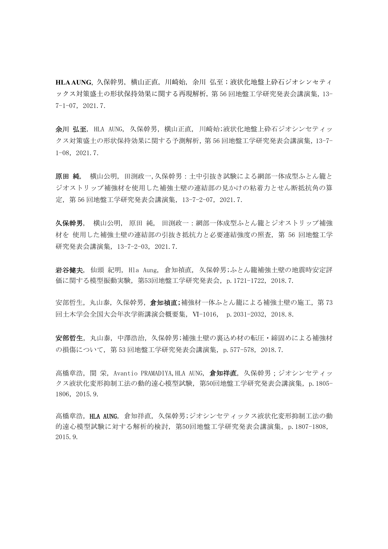HLA AUNG, 久保幹男, 横山正直, 川崎始, 余川 弘至;液状化地盤上砕石ジオシンセティ ックス対策盛土の形状保持効果に関する再現解析, 第 56 回地盤工学研究発表会講演集, 13-7-1-07,2021.7.

余川 弘至, HLA AUNG, 久保幹男,横山正直, 川崎始;液状化地盤上砕石ジオシンセティッ クス対策盛土の形状保持効果に関する予測解析,第 56 回地盤工学研究発表会講演集,13-7- 1-08,2021.7.

原田 純, 横山公明, 田渕政一,久保幹男:土中引抜き試験による網部一体成型ふとん籠と ジオストリップ補強材を使用した補強土壁の連結部の見かけの粘着力とせん断抵抗角の算 定,第 56 回地盤工学研究発表会講演集,13-7-2-07,2021.7.

久保幹男, 横山公明, 原田 純, 田渕政一:網部一体成型ふとん籠とジオストリップ補強 材を 使用した補強土壁の連結部の引抜き抵抗力と必要連結強度の照査,第 56 回地盤工学 研究発表会講演集,13-7-2-03,2021.7.

岩谷健夫, 仙頭 紀明, Hla Aung, 倉知禎直, 久保幹男;ふとん籠補強土壁の地震時安定評 価に関する模型振動実験,第53回地盤工学研究発表会,p.1721-1722,2018.7.

安部哲生,丸山泰,久保幹男,倉知禎直;補強材一体ふとん籠による補強土壁の施工,第73 回土木学会全国大会年次学術講演会概要集,Ⅵ-1016, p.2031-2032,2018.8.

安部哲生,丸山泰,中澤浩治,久保幹男;補強土壁の裏込め材の転圧・締固めによる補強材 の損傷について, 第 53 回地盤工学研究発表会講演集, p. 577-578, 2018.7.

高橋章浩, 関 栄, Avantio PRAMADIYA,HLA AUNG, **倉知祥直**, 久保幹男;ジオシンセティッ クス液状化変形抑制工法の動的遠心模型試験,第50回地盤工学研究発表会講演集,p.1805- 1806,2015.9.

高橋章浩,HLA AUNG, 倉知祥直, 久保幹男;ジオシンセティックス液状化変形抑制工法の動 的遠心模型試験に対する解析的検討,第50回地盤工学研究発表会講演集,p.1807-1808, 2015.9.